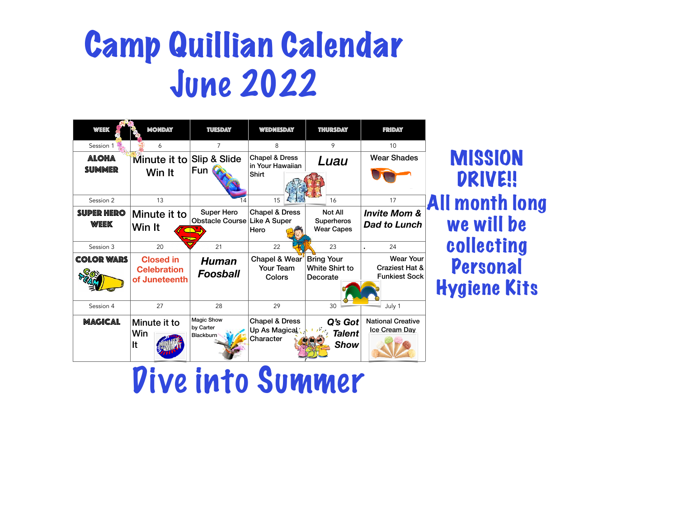| <b>WEEK</b>                      | <b>MONDAY</b>                                           | TUESDAY                                                  | WEDNESDAY                                                       | THURSDAY                                                      | FRIDAY                                          |
|----------------------------------|---------------------------------------------------------|----------------------------------------------------------|-----------------------------------------------------------------|---------------------------------------------------------------|-------------------------------------------------|
| Session 1                        | 6                                                       |                                                          | 8                                                               | 9                                                             | 10                                              |
| <b>ALOHA</b><br>SUMMER           | Minute it to<br>Win It                                  | <b>Slip &amp; Slide</b><br>Fun                           | <b>Chapel &amp; Dress</b><br>in Your Hawaiian<br><b>Shirt</b>   | <i><b>Luau</b></i>                                            | <b>Wear Sha</b>                                 |
| Session 2                        | 13                                                      | 4                                                        | 15                                                              | 16                                                            | 17                                              |
| <b>SUPER HERO</b><br><b>WEEK</b> | Minute it to<br>Win It                                  | <b>Super Hero</b><br><b>Obstacle Course Like A Super</b> | <b>Chapel &amp; Dress</b><br><b>Hero</b>                        | <b>Not All</b><br><b>Superheros</b><br><b>Wear Capes</b>      | <b>Invite Mc</b><br><b>Dad to Lu</b>            |
| Session 3                        | 20                                                      | 21                                                       | 22                                                              | 23                                                            | 24                                              |
| <b>COLOR WARS</b><br>$\sim$      | <b>Closed in</b><br><b>Celebration</b><br>of Juneteenth | Human<br><b>Foosball</b>                                 | <b>Chapel &amp; Wear</b><br><b>Your Team</b><br><b>Colors</b>   | <b>Bring Your</b><br><b>White Shirt to</b><br><b>Decorate</b> | <b>Wea</b><br><b>Craziest</b><br><b>Funkies</b> |
| Session 4                        | 27                                                      | 28                                                       | 29                                                              | 30                                                            | July 1                                          |
| MAGICAL                          | Minute it to<br>Win<br>It                               | <b>Magic Show</b><br>by Carter<br><b>Blackburn</b>       | <b>Chapel &amp; Dress</b><br>Up As Magical!<br><b>Character</b> | Q's Got<br><b>Talent</b><br><b>Show</b>                       | <b>National Cre</b><br><b>Ice Cream</b>         |

**MISSION** DRIVE!! All month long we will be collecting Personal Hygiene Kits



### Camp Quillian Calendar June 2022

### Dive into Summer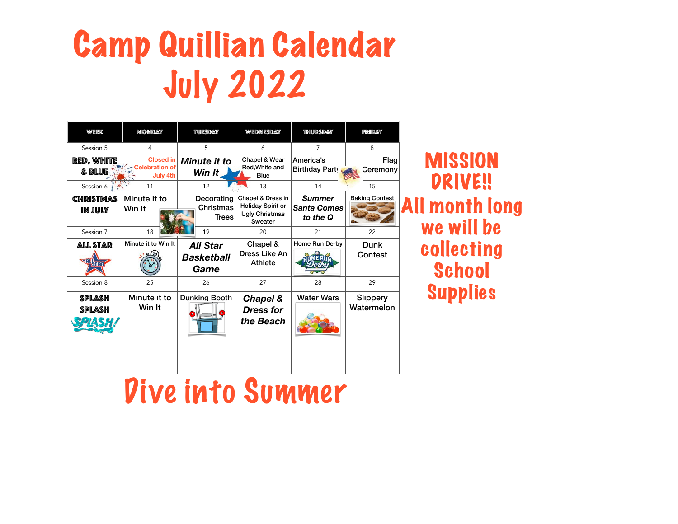| <b>WEEK</b>                        | <b>MONDAY</b>                                                | TUESDAY                                        | WEDNESDAY                                                                                           | THURSDAY                                        | FRIDAY                        |
|------------------------------------|--------------------------------------------------------------|------------------------------------------------|-----------------------------------------------------------------------------------------------------|-------------------------------------------------|-------------------------------|
| Session 5                          | 4                                                            | 5                                              | 6                                                                                                   |                                                 | 8                             |
| <b>RED, WHITE</b><br>& BLUE        | <b>Closed in</b><br><b>Celebration of</b><br><b>July 4th</b> | <b>Minute it to</b><br>Win It                  | <b>Chapel &amp; Wear</b><br><b>Red, White and</b><br><b>Blue</b>                                    | America's<br><b>Birthday Party</b>              | <b>Flag</b><br>Ceremony       |
| Session 6                          | 11                                                           | 12                                             | 13                                                                                                  | 14                                              | 15                            |
| <b>CHRISTMAS</b><br><b>IN JULY</b> | Minute it to<br>Win It                                       | Decorating<br><b>Christmas</b><br><b>Trees</b> | <b>Chapel &amp; Dress in</b><br><b>Holiday Spirit or</b><br><b>Ugly Christmas</b><br><b>Sweater</b> | <b>Summer</b><br><b>Santa Comes</b><br>to the Q | <b>Baking Contest</b>         |
| Session 7                          | 18                                                           | 19                                             | 20                                                                                                  | 21                                              | 22                            |
| <b>ALL STAR</b>                    | Minute it to Win It                                          | <b>All Star</b><br><b>Basketball</b><br>Game   | <b>Chapel &amp;</b><br><b>Dress Like An</b><br><b>Athlete</b>                                       | <b>Home Run Derby</b>                           | <b>Dunk</b><br><b>Contest</b> |
| Session 8                          | 25                                                           | 26                                             | 27                                                                                                  | 28                                              | 29                            |
| SPLASH<br>SPLASH                   | Minute it to<br>Win It                                       | <b>Dunking Booth</b>                           | <b>Chapel &amp;</b><br><b>Dress for</b><br>the Beach                                                | <b>Water Wars</b>                               | <b>Slippery</b><br>Watermelon |

**MISSION** DRIVE!! All month long we will be collecting School Supplies



# Camp Quillian Calendar July 2022

#### Dive into Summer